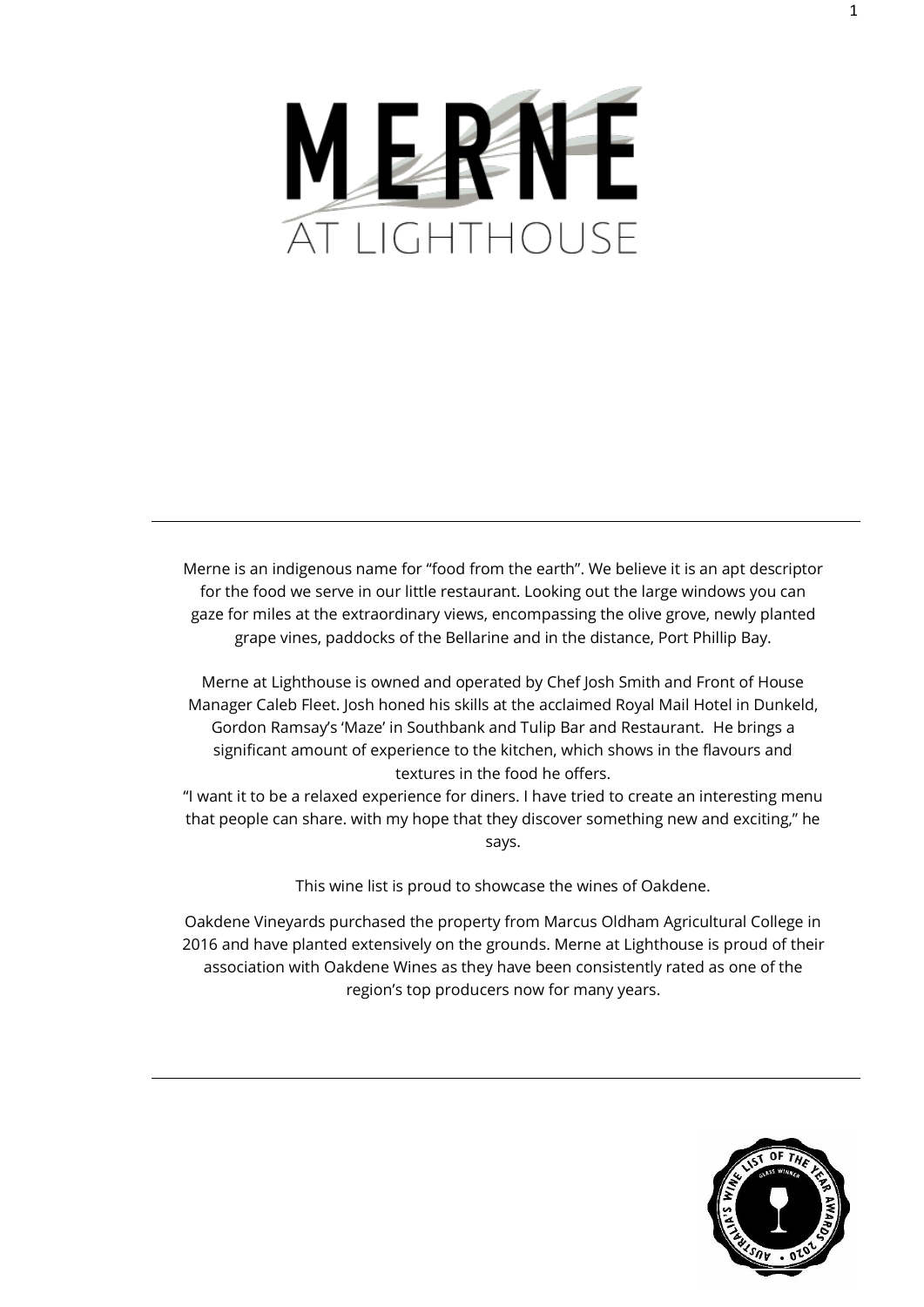

Merne is an indigenous name for "food from the earth". We believe it is an apt descriptor for the food we serve in our little restaurant. Looking out the large windows you can gaze for miles at the extraordinary views, encompassing the olive grove, newly planted grape vines, paddocks of the Bellarine and in the distance, Port Phillip Bay.

Merne at Lighthouse is owned and operated by Chef Josh Smith and Front of House Manager Caleb Fleet. Josh honed his skills at the acclaimed Royal Mail Hotel in Dunkeld, Gordon Ramsay's 'Maze' in Southbank and Tulip Bar and Restaurant. He brings a significant amount of experience to the kitchen, which shows in the flavours and textures in the food he offers.

"I want it to be a relaxed experience for diners. I have tried to create an interesting menu that people can share. with my hope that they discover something new and exciting," he says.

This wine list is proud to showcase the wines of Oakdene.

Oakdene Vineyards purchased the property from Marcus Oldham Agricultural College in 2016 and have planted extensively on the grounds. Merne at Lighthouse is proud of their association with Oakdene Wines as they have been consistently rated as one of the region's top producers now for many years.

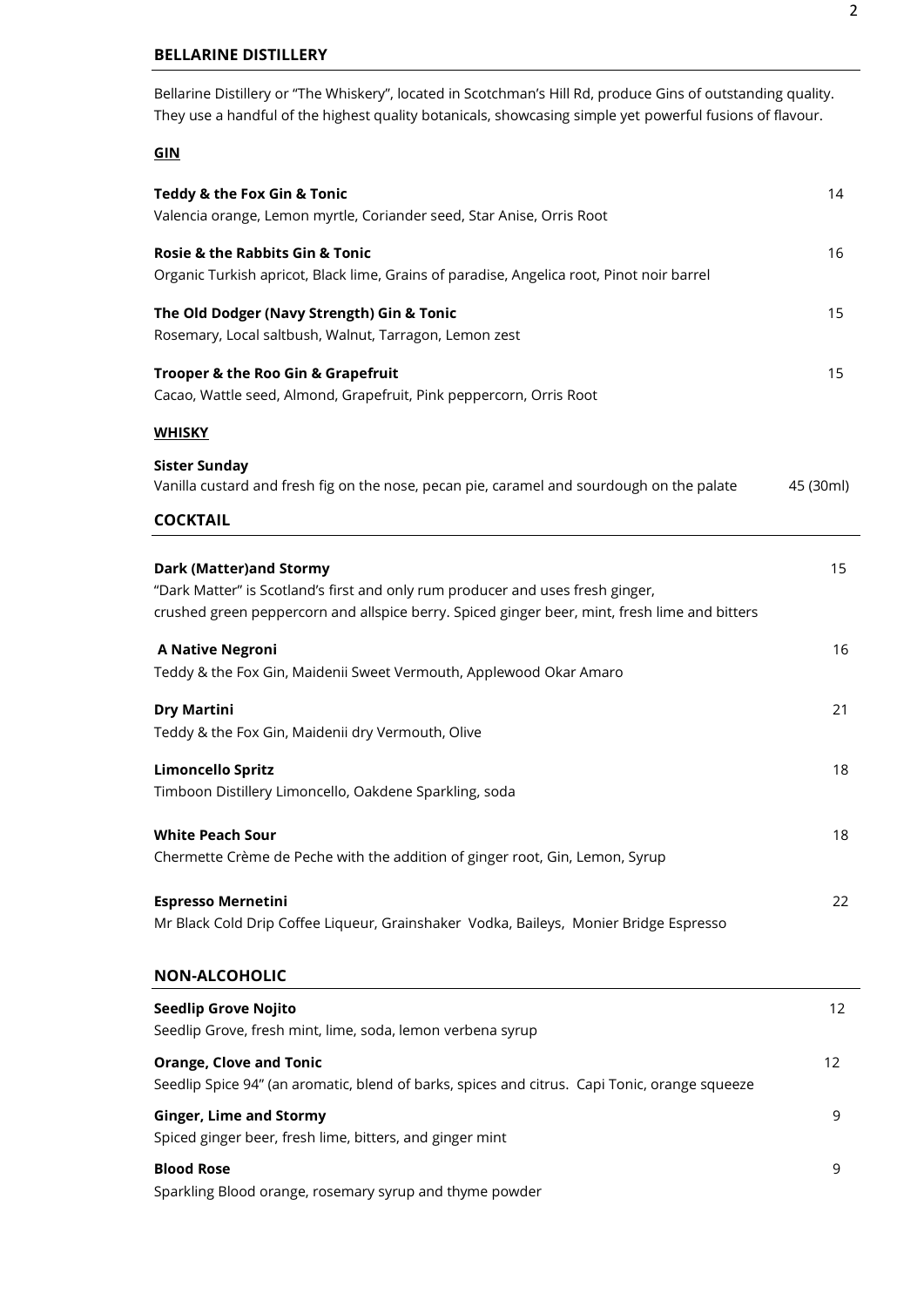## **BELLARINE DISTILLERY**

Bellarine Distillery or "The Whiskery", located in Scotchman's Hill Rd, produce Gins of outstanding quality. They use a handful of the highest quality botanicals, showcasing simple yet powerful fusions of flavour. I

# **GIN**

| Teddy & the Fox Gin & Tonic<br>Valencia orange, Lemon myrtle, Coriander seed, Star Anise, Orris Root                                                                                                              | 14        |
|-------------------------------------------------------------------------------------------------------------------------------------------------------------------------------------------------------------------|-----------|
| Rosie & the Rabbits Gin & Tonic<br>Organic Turkish apricot, Black lime, Grains of paradise, Angelica root, Pinot noir barrel                                                                                      | 16        |
| The Old Dodger (Navy Strength) Gin & Tonic<br>Rosemary, Local saltbush, Walnut, Tarragon, Lemon zest                                                                                                              | 15        |
| Trooper & the Roo Gin & Grapefruit<br>Cacao, Wattle seed, Almond, Grapefruit, Pink peppercorn, Orris Root                                                                                                         | 15        |
| <u>WHISKY</u>                                                                                                                                                                                                     |           |
| <b>Sister Sunday</b><br>Vanilla custard and fresh fig on the nose, pecan pie, caramel and sourdough on the palate                                                                                                 | 45 (30ml) |
| <b>COCKTAIL</b>                                                                                                                                                                                                   |           |
| <b>Dark (Matter)and Stormy</b><br>"Dark Matter" is Scotland's first and only rum producer and uses fresh ginger,<br>crushed green peppercorn and allspice berry. Spiced ginger beer, mint, fresh lime and bitters | 15        |
| <b>A Native Negroni</b><br>Teddy & the Fox Gin, Maidenii Sweet Vermouth, Applewood Okar Amaro                                                                                                                     | 16        |
| <b>Dry Martini</b><br>Teddy & the Fox Gin, Maidenii dry Vermouth, Olive                                                                                                                                           | 21        |
| <b>Limoncello Spritz</b><br>Timboon Distillery Limoncello, Oakdene Sparkling, soda                                                                                                                                | 18        |
| <b>White Peach Sour</b><br>Chermette Crème de Peche with the addition of ginger root, Gin, Lemon, Syrup                                                                                                           | 18        |
| <b>Espresso Mernetini</b><br>Mr Black Cold Drip Coffee Liqueur, Grainshaker Vodka, Baileys, Monier Bridge Espresso                                                                                                | 22        |
| <b>NON-ALCOHOLIC</b>                                                                                                                                                                                              |           |
| <b>Seedlip Grove Nojito</b><br>Seedlip Grove, fresh mint, lime, soda, lemon verbena syrup                                                                                                                         | 12        |
| <b>Orange, Clove and Tonic</b><br>Seedlip Spice 94" (an aromatic, blend of barks, spices and citrus. Capi Tonic, orange squeeze                                                                                   | 12        |
| <b>Ginger, Lime and Stormy</b><br>Spiced ginger beer, fresh lime, bitters, and ginger mint                                                                                                                        | 9         |
| <b>Blood Rose</b><br>Sparkling Blood orange, rosemary syrup and thyme powder                                                                                                                                      | 9         |
|                                                                                                                                                                                                                   |           |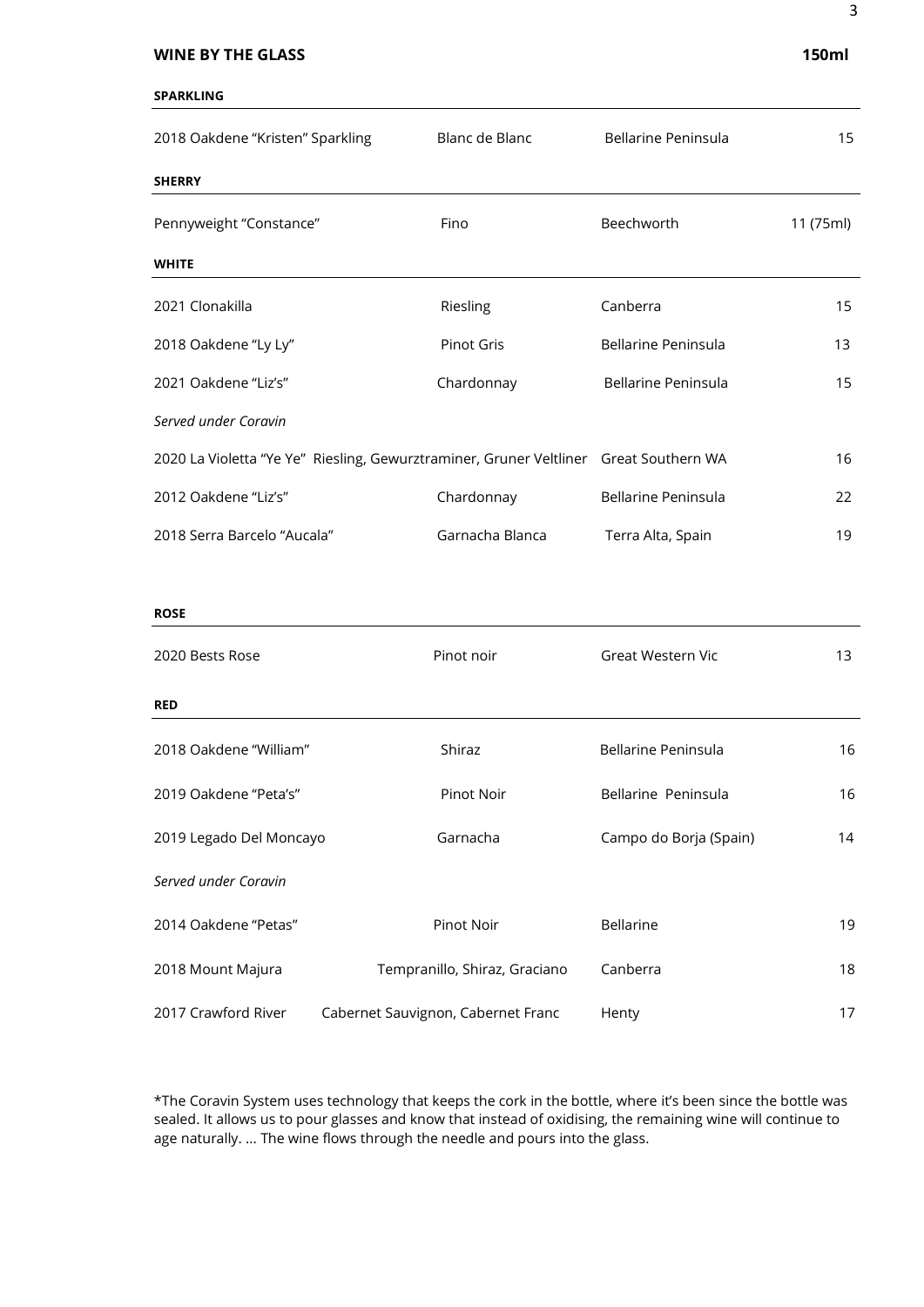#### **WINE BY THE GLASS** 150ml

#### **SPARKLING**

| 2018 Oakdene "Kristen" Sparkling | Blanc de Blanc                                                                        | <b>Bellarine Peninsula</b> | 15        |
|----------------------------------|---------------------------------------------------------------------------------------|----------------------------|-----------|
| <b>SHERRY</b>                    |                                                                                       |                            |           |
| Pennyweight "Constance"          | Fino                                                                                  | Beechworth                 | 11 (75ml) |
| <b>WHITE</b>                     |                                                                                       |                            |           |
| 2021 Clonakilla                  | Riesling                                                                              | Canberra                   | 15        |
| 2018 Oakdene "Ly Ly"             | Pinot Gris                                                                            | <b>Bellarine Peninsula</b> | 13        |
| 2021 Oakdene "Liz's"             | Chardonnay                                                                            | Bellarine Peninsula        | 15        |
| Served under Coravin             |                                                                                       |                            |           |
|                                  | 2020 La Violetta "Ye Ye" Riesling, Gewurztraminer, Gruner Veltliner Great Southern WA |                            | 16        |
| 2012 Oakdene "Liz's"             | Chardonnay                                                                            | Bellarine Peninsula        | 22        |
| 2018 Serra Barcelo "Aucala"      | Garnacha Blanca                                                                       | Terra Alta, Spain          | 19        |
|                                  |                                                                                       |                            |           |
| <b>ROSE</b>                      |                                                                                       |                            |           |
| 2020 Bests Rose                  | Pinot noir                                                                            | Great Western Vic          | 13        |
| <b>RED</b>                       |                                                                                       |                            |           |
| 2018 Oakdene "William"           | Shiraz                                                                                | <b>Bellarine Peninsula</b> | 16        |
| 2019 Oakdene "Peta's"            | Pinot Noir                                                                            | Bellarine Peninsula        | 16        |
| 2019 Legado Del Moncayo          | Garnacha                                                                              | Campo do Borja (Spain)     | 14        |
| Served under Coravin             |                                                                                       |                            |           |
| 2014 Oakdene "Petas"             | Pinot Noir                                                                            | <b>Bellarine</b>           | 19        |
| 2018 Mount Majura                | Tempranillo, Shiraz, Graciano                                                         | Canberra                   | 18        |

\*The Coravin System uses technology that keeps the cork in the bottle, where it's been since the bottle was sealed. It allows us to pour glasses and know that instead of oxidising, the remaining wine will continue to age naturally. ... The wine flows through the needle and pours into the glass.

2017 Crawford River Cabernet Sauvignon, Cabernet Franc Henty Henty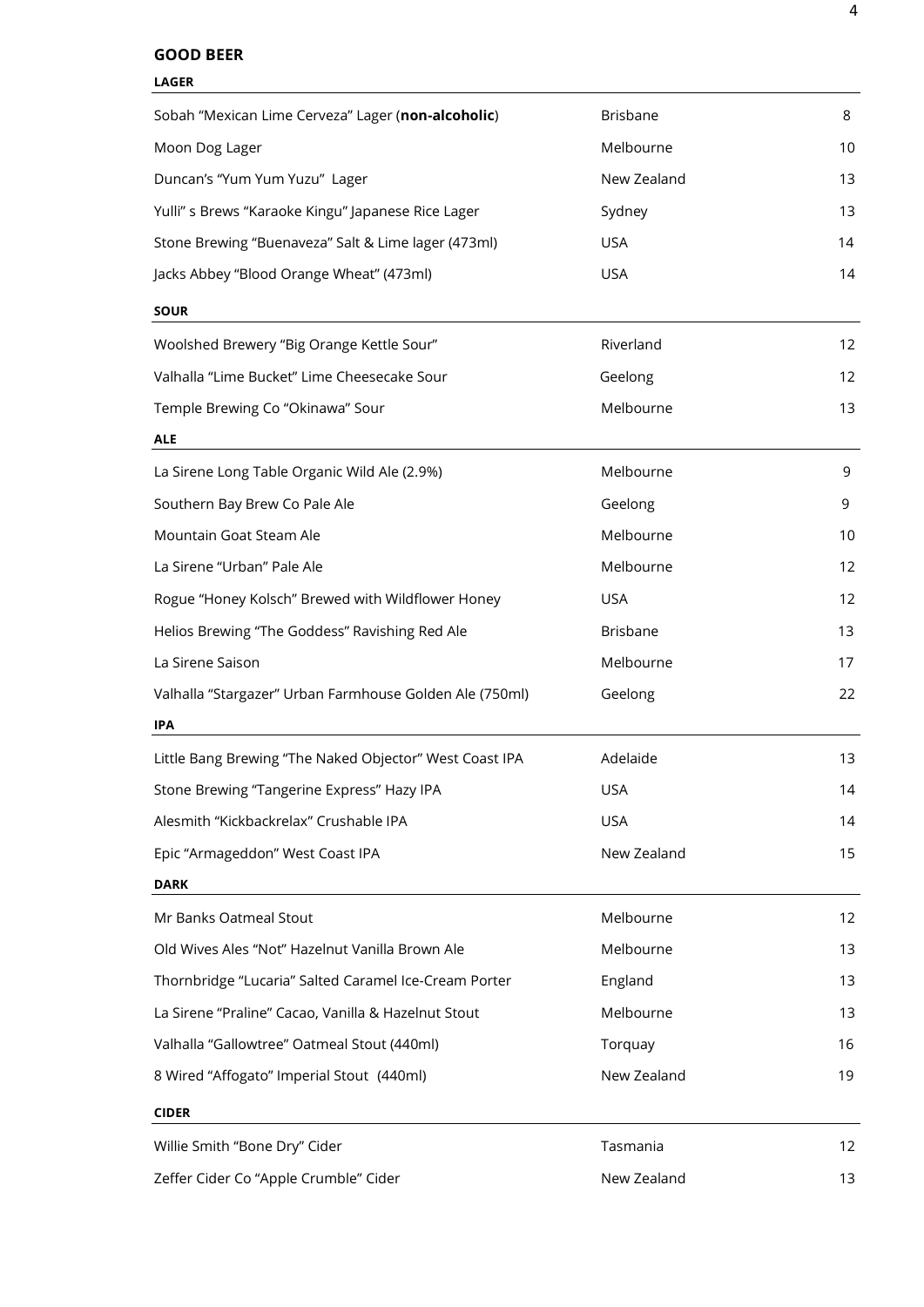## **GOOD BEER**

| <b>LAGER</b>                                            |                 |                   |
|---------------------------------------------------------|-----------------|-------------------|
| Sobah "Mexican Lime Cerveza" Lager (non-alcoholic)      | <b>Brisbane</b> | 8                 |
| Moon Dog Lager                                          | Melbourne       | 10                |
| Duncan's "Yum Yum Yuzu" Lager                           | New Zealand     | 13                |
| Yulli" s Brews "Karaoke Kingu" Japanese Rice Lager      | Sydney          | 13                |
| Stone Brewing "Buenaveza" Salt & Lime lager (473ml)     | <b>USA</b>      | 14                |
| Jacks Abbey "Blood Orange Wheat" (473ml)                | <b>USA</b>      | 14                |
| <b>SOUR</b>                                             |                 |                   |
| Woolshed Brewery "Big Orange Kettle Sour"               | Riverland       | 12                |
| Valhalla "Lime Bucket" Lime Cheesecake Sour             | Geelong         | 12                |
| Temple Brewing Co "Okinawa" Sour                        | Melbourne       | 13                |
| <b>ALE</b>                                              |                 |                   |
| La Sirene Long Table Organic Wild Ale (2.9%)            | Melbourne       | 9                 |
| Southern Bay Brew Co Pale Ale                           | Geelong         | 9                 |
| Mountain Goat Steam Ale                                 | Melbourne       | 10                |
| La Sirene "Urban" Pale Ale                              | Melbourne       | 12                |
| Rogue "Honey Kolsch" Brewed with Wildflower Honey       | <b>USA</b>      | 12                |
| Helios Brewing "The Goddess" Ravishing Red Ale          | <b>Brisbane</b> | 13                |
| La Sirene Saison                                        | Melbourne       | 17                |
| Valhalla "Stargazer" Urban Farmhouse Golden Ale (750ml) | Geelong         | 22                |
| <b>IPA</b>                                              |                 |                   |
| Little Bang Brewing "The Naked Objector" West Coast IPA | Adelaide        | 13                |
| Stone Brewing "Tangerine Express" Hazy IPA              | <b>USA</b>      | 14                |
| Alesmith "Kickbackrelax" Crushable IPA                  | <b>USA</b>      | 14                |
| Epic "Armageddon" West Coast IPA                        | New Zealand     | 15                |
| <b>DARK</b>                                             |                 |                   |
| Mr Banks Oatmeal Stout                                  | Melbourne       | $12 \overline{ }$ |
| Old Wives Ales "Not" Hazelnut Vanilla Brown Ale         | Melbourne       | 13                |
| Thornbridge "Lucaria" Salted Caramel Ice-Cream Porter   | England         | 13                |
| La Sirene "Praline" Cacao, Vanilla & Hazelnut Stout     | Melbourne       | 13                |
| Valhalla "Gallowtree" Oatmeal Stout (440ml)             | Torquay         | 16                |
| 8 Wired "Affogato" Imperial Stout (440ml)               | New Zealand     | 19                |
| <b>CIDER</b>                                            |                 |                   |
| Willie Smith "Bone Dry" Cider                           | Tasmania        | 12                |
| Zeffer Cider Co "Apple Crumble" Cider                   | New Zealand     | 13                |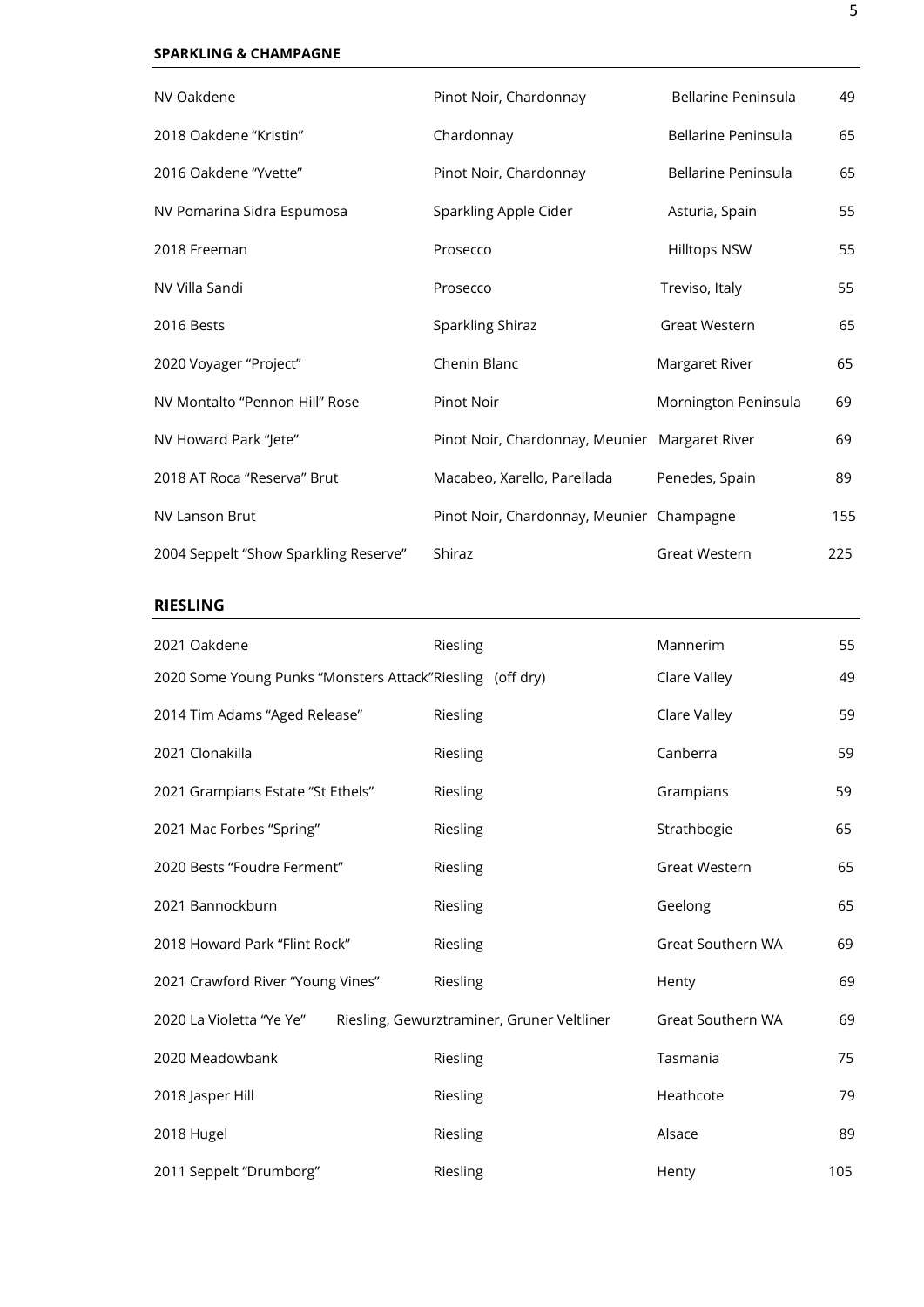## **SPARKLING & CHAMPAGNE**

| NV Oakdene                            | Pinot Noir, Chardonnay                         | Bellarine Peninsula  | 49  |
|---------------------------------------|------------------------------------------------|----------------------|-----|
| 2018 Oakdene "Kristin"                | Chardonnay                                     | Bellarine Peninsula  | 65  |
| 2016 Oakdene "Yvette"                 | Pinot Noir, Chardonnay                         | Bellarine Peninsula  | 65  |
| NV Pomarina Sidra Espumosa            | Sparkling Apple Cider                          | Asturia, Spain       | 55  |
| 2018 Freeman                          | Prosecco                                       | <b>Hilltops NSW</b>  | 55  |
| NV Villa Sandi                        | Prosecco                                       | Treviso, Italy       | 55  |
| 2016 Bests                            | Sparkling Shiraz                               | Great Western        | 65  |
| 2020 Voyager "Project"                | Chenin Blanc                                   | Margaret River       | 65  |
| NV Montalto "Pennon Hill" Rose        | <b>Pinot Noir</b>                              | Mornington Peninsula | 69  |
| NV Howard Park "Jete"                 | Pinot Noir, Chardonnay, Meunier Margaret River |                      | 69  |
| 2018 AT Roca "Reserva" Brut           | Macabeo, Xarello, Parellada                    | Penedes, Spain       | 89  |
| <b>NV Lanson Brut</b>                 | Pinot Noir, Chardonnay, Meunier Champagne      |                      | 155 |
| 2004 Seppelt "Show Sparkling Reserve" | Shiraz                                         | Great Western        | 225 |

## **RIESLING**

| 2021 Oakdene                                              | Riesling                                   | Mannerim                 | 55  |
|-----------------------------------------------------------|--------------------------------------------|--------------------------|-----|
| 2020 Some Young Punks "Monsters Attack"Riesling (off dry) |                                            | Clare Valley             | 49  |
| 2014 Tim Adams "Aged Release"                             | Riesling                                   | Clare Valley             | 59  |
| 2021 Clonakilla                                           | Riesling                                   | Canberra                 | 59  |
| 2021 Grampians Estate "St Ethels"                         | Riesling                                   | Grampians                | 59  |
| 2021 Mac Forbes "Spring"                                  | Riesling                                   | Strathbogie              | 65  |
| 2020 Bests "Foudre Ferment"                               | Riesling                                   | Great Western            | 65  |
| 2021 Bannockburn                                          | Riesling                                   | Geelong                  | 65  |
| 2018 Howard Park "Flint Rock"                             | Riesling                                   | <b>Great Southern WA</b> | 69  |
| 2021 Crawford River "Young Vines"                         | Riesling                                   | Henty                    | 69  |
| 2020 La Violetta "Ye Ye"                                  | Riesling, Gewurztraminer, Gruner Veltliner | Great Southern WA        | 69  |
| 2020 Meadowbank                                           | Riesling                                   | Tasmania                 | 75  |
| 2018 Jasper Hill                                          | Riesling                                   | Heathcote                | 79  |
| 2018 Hugel                                                | Riesling                                   | Alsace                   | 89  |
| 2011 Seppelt "Drumborg"                                   | Riesling                                   | Henty                    | 105 |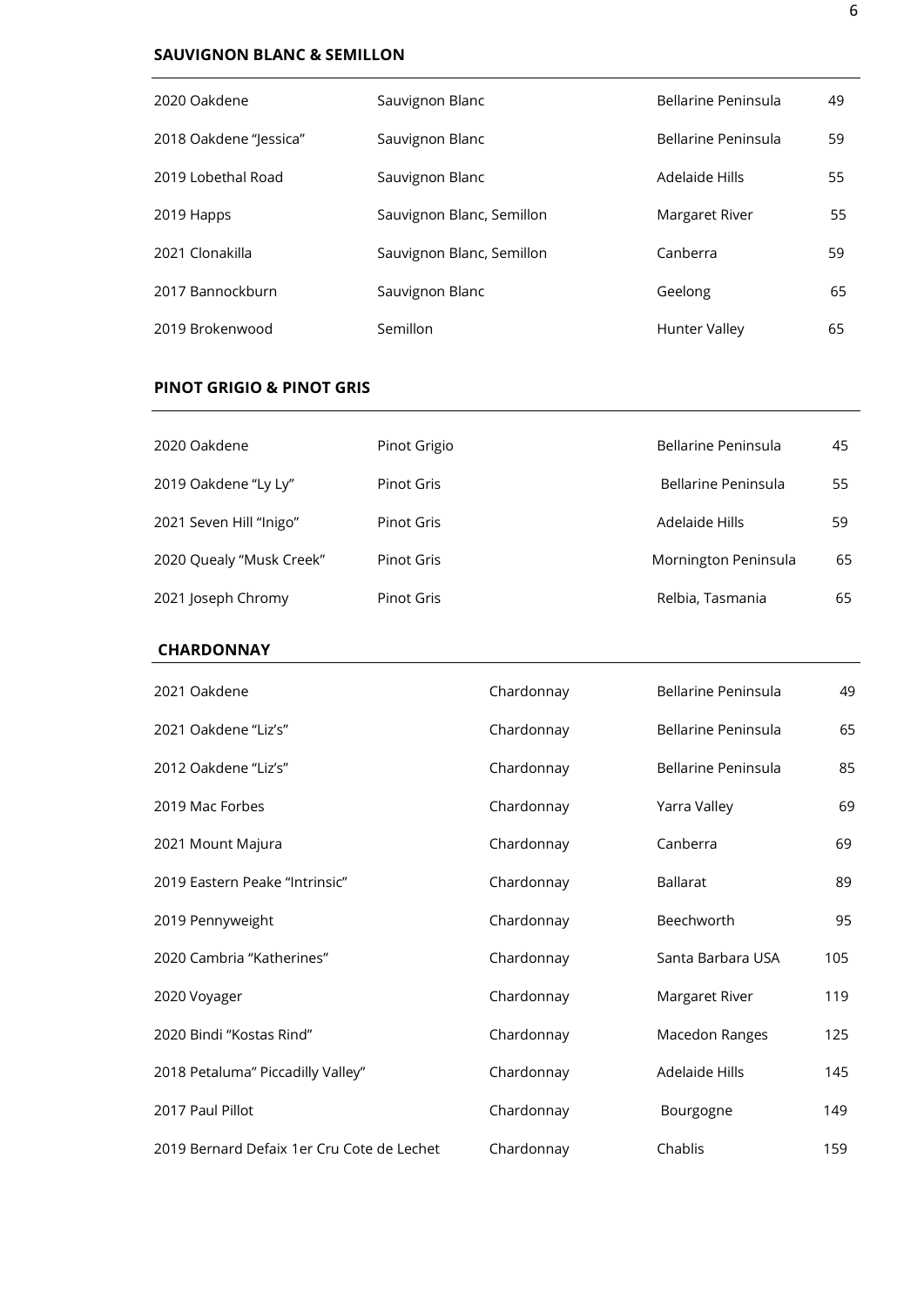# **SAUVIGNON BLANC & SEMILLON**

| 2020 Oakdene           | Sauvignon Blanc           | Bellarine Peninsula | 49 |
|------------------------|---------------------------|---------------------|----|
| 2018 Oakdene "Jessica" | Sauvignon Blanc           | Bellarine Peninsula | 59 |
| 2019 Lobethal Road     | Sauvignon Blanc           | Adelaide Hills      | 55 |
| 2019 Happs             | Sauvignon Blanc, Semillon | Margaret River      | 55 |
| 2021 Clonakilla        | Sauvignon Blanc, Semillon | Canberra            | 59 |
| 2017 Bannockburn       | Sauvignon Blanc           | Geelong             | 65 |
| 2019 Brokenwood        | Semillon                  | Hunter Valley       | 65 |

# **PINOT GRIGIO & PINOT GRIS**

| 2020 Oakdene             | Pinot Grigio      | Bellarine Peninsula  | 45 |
|--------------------------|-------------------|----------------------|----|
| 2019 Oakdene "Ly Ly"     | Pinot Gris        | Bellarine Peninsula  | 55 |
| 2021 Seven Hill "Inigo"  | Pinot Gris        | Adelaide Hills       | 59 |
| 2020 Quealy "Musk Creek" | <b>Pinot Gris</b> | Mornington Peninsula | 65 |
| 2021 Joseph Chromy       | <b>Pinot Gris</b> | Relbia, Tasmania     | 65 |

#### **CHARDONNAY**

| 2021 Oakdene                               | Chardonnay | Bellarine Peninsula | 49  |
|--------------------------------------------|------------|---------------------|-----|
| 2021 Oakdene "Liz's"                       | Chardonnay | Bellarine Peninsula | 65  |
| 2012 Oakdene "Liz's"                       | Chardonnay | Bellarine Peninsula | 85  |
| 2019 Mac Forbes                            | Chardonnay | Yarra Valley        | 69  |
| 2021 Mount Majura                          | Chardonnay | Canberra            | 69  |
| 2019 Eastern Peake "Intrinsic"             | Chardonnay | <b>Ballarat</b>     | 89  |
| 2019 Pennyweight                           | Chardonnay | Beechworth          | 95  |
| 2020 Cambria "Katherines"                  | Chardonnay | Santa Barbara USA   | 105 |
| 2020 Voyager                               | Chardonnay | Margaret River      | 119 |
| 2020 Bindi "Kostas Rind"                   | Chardonnay | Macedon Ranges      | 125 |
| 2018 Petaluma" Piccadilly Valley"          | Chardonnay | Adelaide Hills      | 145 |
| 2017 Paul Pillot                           | Chardonnay | Bourgogne           | 149 |
| 2019 Bernard Defaix 1er Cru Cote de Lechet | Chardonnay | Chablis             | 159 |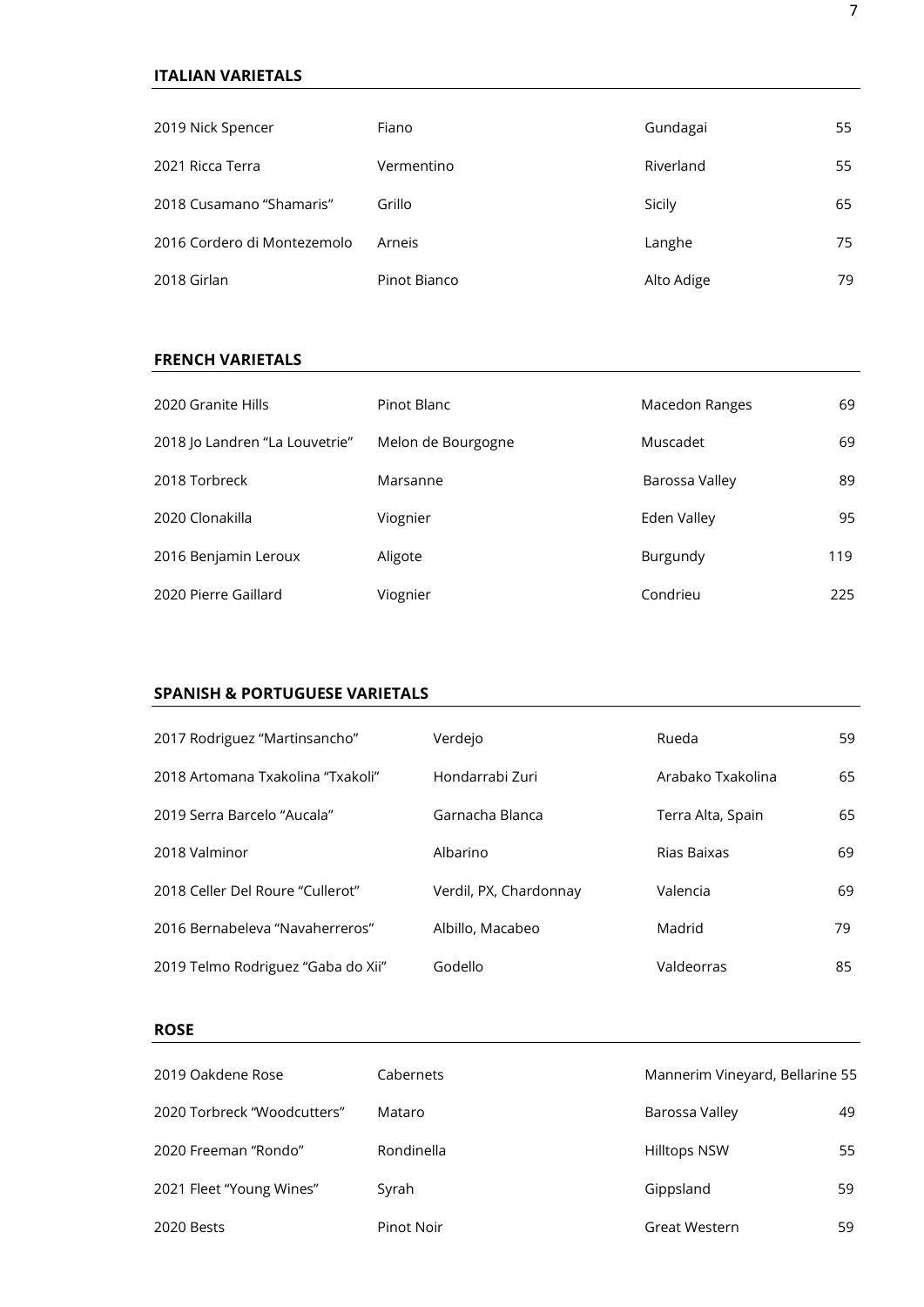## **ITALIAN VARIETALS**

| 2019 Nick Spencer           | Fiano        | Gundagai   | 55 |
|-----------------------------|--------------|------------|----|
| 2021 Ricca Terra            | Vermentino   | Riverland  | 55 |
| 2018 Cusamano "Shamaris"    | Grillo       | Sicily     | 65 |
| 2016 Cordero di Montezemolo | Arneis       | Langhe     | 75 |
| 2018 Girlan                 | Pinot Bianco | Alto Adige | 79 |

# **FRENCH VARIETALS**

| 2020 Granite Hills             | Pinot Blanc        | Macedon Ranges | 69  |
|--------------------------------|--------------------|----------------|-----|
| 2018 Jo Landren "La Louvetrie" | Melon de Bourgogne | Muscadet       | 69  |
| 2018 Torbreck                  | Marsanne           | Barossa Valley | 89  |
| 2020 Clonakilla                | Viognier           | Eden Valley    | 95  |
| 2016 Benjamin Leroux           | Aligote            | Burgundy       | 119 |
| 2020 Pierre Gaillard           | Viognier           | Condrieu       | 225 |

## **SPANISH & PORTUGUESE VARIETALS**

| 2017 Rodriguez "Martinsancho"      | Verdejo                | Rueda             | 59 |
|------------------------------------|------------------------|-------------------|----|
| 2018 Artomana Txakolina "Txakoli"  | Hondarrabi Zuri        | Arabako Txakolina | 65 |
| 2019 Serra Barcelo "Aucala"        | Garnacha Blanca        | Terra Alta, Spain | 65 |
| 2018 Valminor                      | Albarino               | Rias Baixas       | 69 |
| 2018 Celler Del Roure "Cullerot"   | Verdil, PX, Chardonnay | Valencia          | 69 |
| 2016 Bernabeleva "Navaherreros"    | Albillo, Macabeo       | Madrid            | 79 |
| 2019 Telmo Rodriguez "Gaba do Xii" | Godello                | Valdeorras        | 85 |

## **ROSE**

| 2019 Oakdene Rose           | Cabernets  | Mannerim Vineyard, Bellarine 55 |    |
|-----------------------------|------------|---------------------------------|----|
| 2020 Torbreck "Woodcutters" | Mataro     | Barossa Valley                  | 49 |
| 2020 Freeman "Rondo"        | Rondinella | <b>Hilltops NSW</b>             | 55 |
| 2021 Fleet "Young Wines"    | Syrah      | Gippsland                       | 59 |
| 2020 Bests                  | Pinot Noir | Great Western                   | 59 |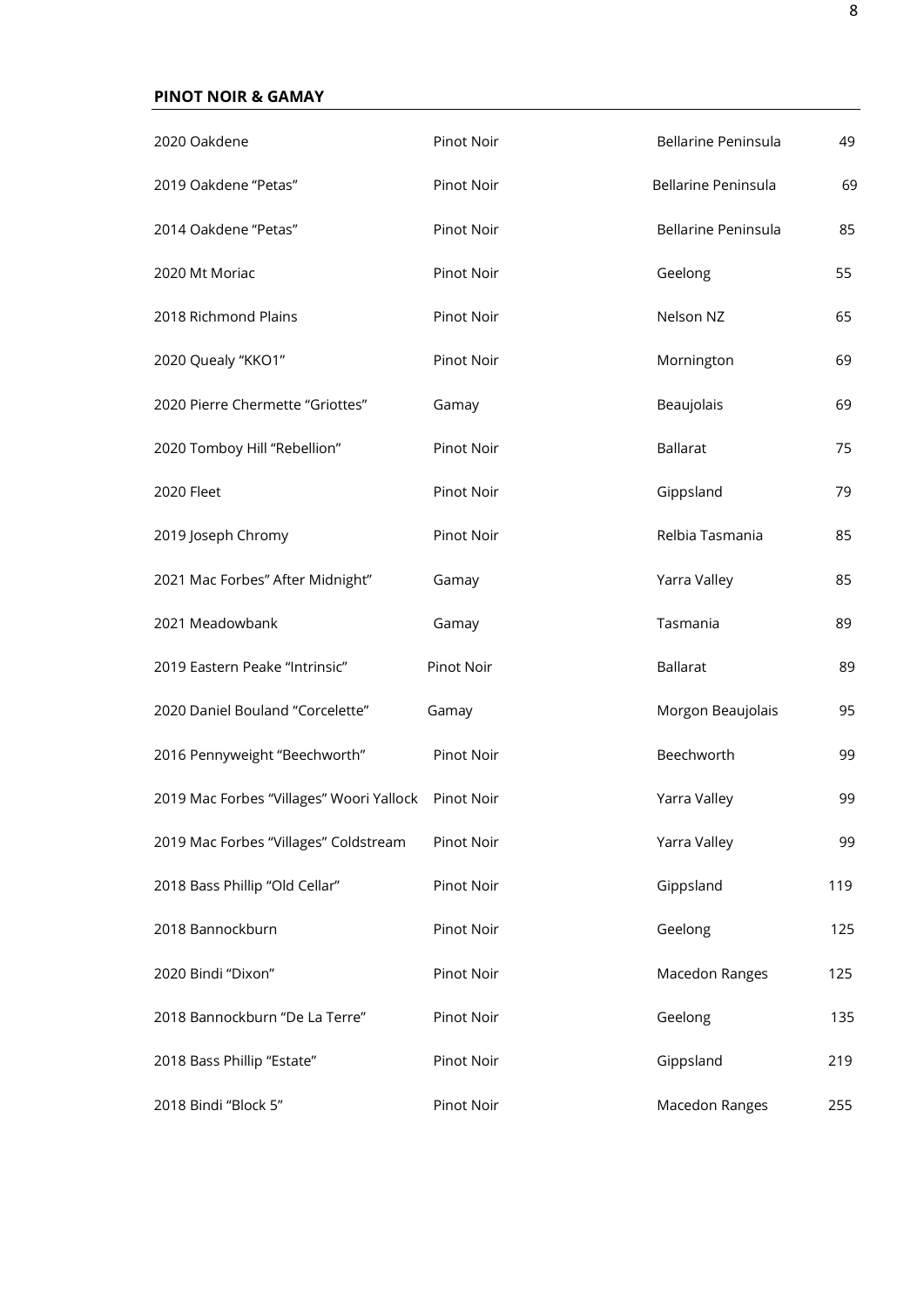# **PINOT NOIR & GAMAY**

| 2020 Oakdene                             | Pinot Noir | <b>Bellarine Peninsula</b> | 49  |
|------------------------------------------|------------|----------------------------|-----|
| 2019 Oakdene "Petas"                     | Pinot Noir | <b>Bellarine Peninsula</b> | 69  |
| 2014 Oakdene "Petas"                     | Pinot Noir | Bellarine Peninsula        | 85  |
| 2020 Mt Moriac                           | Pinot Noir | Geelong                    | 55  |
| 2018 Richmond Plains                     | Pinot Noir | Nelson NZ                  | 65  |
| 2020 Quealy "KKO1"                       | Pinot Noir | Mornington                 | 69  |
| 2020 Pierre Chermette "Griottes"         | Gamay      | Beaujolais                 | 69  |
| 2020 Tomboy Hill "Rebellion"             | Pinot Noir | <b>Ballarat</b>            | 75  |
| <b>2020 Fleet</b>                        | Pinot Noir | Gippsland                  | 79  |
| 2019 Joseph Chromy                       | Pinot Noir | Relbia Tasmania            | 85  |
| 2021 Mac Forbes" After Midnight"         | Gamay      | Yarra Valley               | 85  |
| 2021 Meadowbank                          | Gamay      | Tasmania                   | 89  |
| 2019 Eastern Peake "Intrinsic"           | Pinot Noir | <b>Ballarat</b>            | 89  |
| 2020 Daniel Bouland "Corcelette"         | Gamay      | Morgon Beaujolais          | 95  |
| 2016 Pennyweight "Beechworth"            | Pinot Noir | Beechworth                 | 99  |
| 2019 Mac Forbes "Villages" Woori Yallock | Pinot Noir | Yarra Valley               | 99  |
| 2019 Mac Forbes "Villages" Coldstream    | Pinot Noir | Yarra Valley               | 99  |
| 2018 Bass Phillip "Old Cellar"           | Pinot Noir | Gippsland                  | 119 |
| 2018 Bannockburn                         | Pinot Noir | Geelong                    | 125 |
| 2020 Bindi "Dixon"                       | Pinot Noir | Macedon Ranges             | 125 |
| 2018 Bannockburn "De La Terre"           | Pinot Noir | Geelong                    | 135 |
| 2018 Bass Phillip "Estate"               | Pinot Noir | Gippsland                  | 219 |
| 2018 Bindi "Block 5"                     | Pinot Noir | Macedon Ranges             | 255 |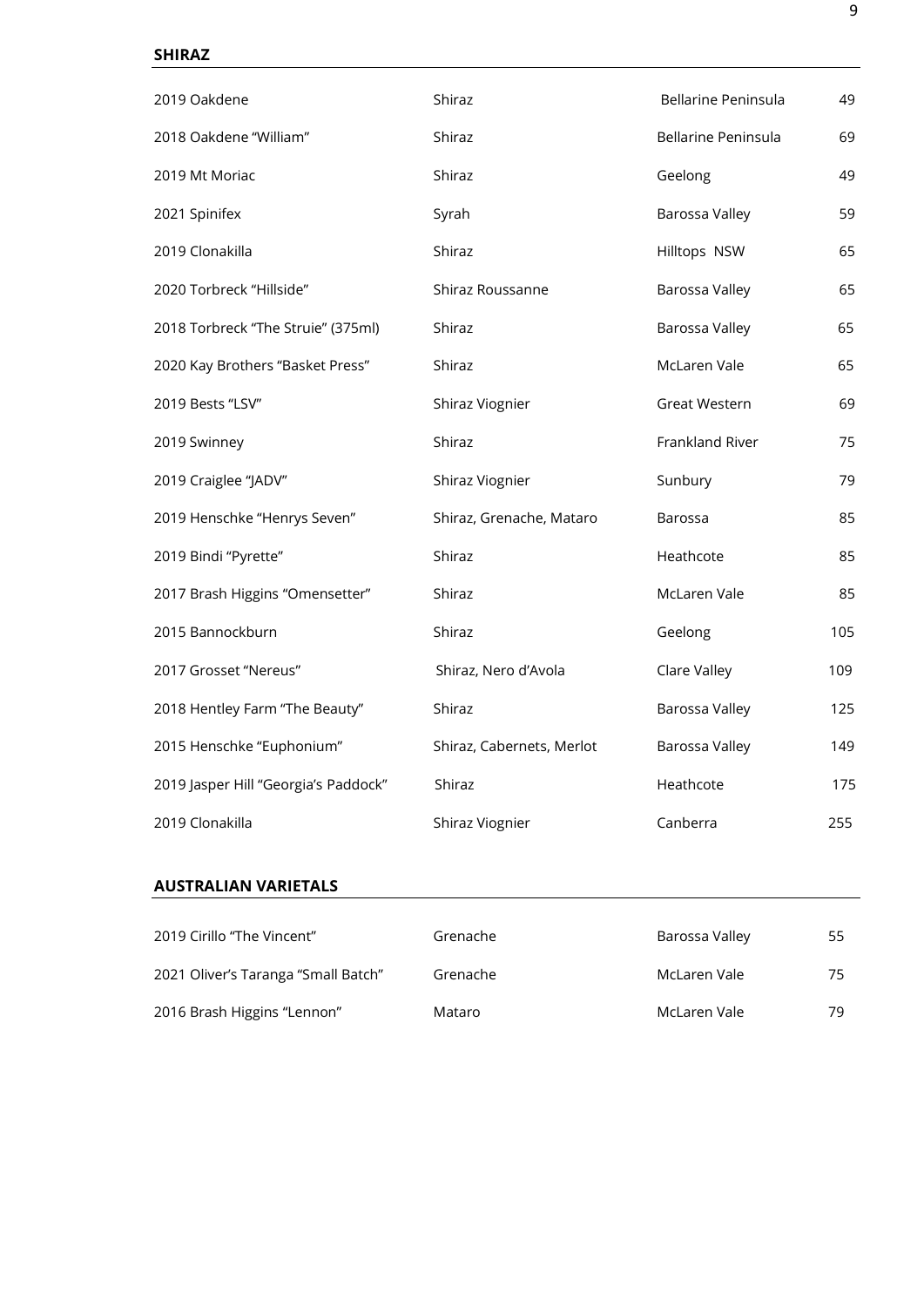## **SHIRAZ**

| 2019 Oakdene                         | Shiraz                    | Bellarine Peninsula | 49  |
|--------------------------------------|---------------------------|---------------------|-----|
| 2018 Oakdene "William"               | Shiraz                    | Bellarine Peninsula | 69  |
| 2019 Mt Moriac                       | Shiraz                    | Geelong             | 49  |
| 2021 Spinifex                        | Syrah                     | Barossa Valley      | 59  |
| 2019 Clonakilla                      | Shiraz                    | Hilltops NSW        | 65  |
| 2020 Torbreck "Hillside"             | Shiraz Roussanne          | Barossa Valley      | 65  |
| 2018 Torbreck "The Struie" (375ml)   | Shiraz                    | Barossa Valley      | 65  |
| 2020 Kay Brothers "Basket Press"     | Shiraz                    | McLaren Vale        | 65  |
| 2019 Bests "LSV"                     | Shiraz Viognier           | Great Western       | 69  |
| 2019 Swinney                         | Shiraz                    | Frankland River     | 75  |
| 2019 Craiglee "JADV"                 | Shiraz Viognier           | Sunbury             | 79  |
| 2019 Henschke "Henrys Seven"         | Shiraz, Grenache, Mataro  | Barossa             | 85  |
| 2019 Bindi "Pyrette"                 | Shiraz                    | Heathcote           | 85  |
| 2017 Brash Higgins "Omensetter"      | Shiraz                    | McLaren Vale        | 85  |
| 2015 Bannockburn                     | Shiraz                    | Geelong             | 105 |
| 2017 Grosset "Nereus"                | Shiraz, Nero d'Avola      | Clare Valley        | 109 |
| 2018 Hentley Farm "The Beauty"       | Shiraz                    | Barossa Valley      | 125 |
| 2015 Henschke "Euphonium"            | Shiraz, Cabernets, Merlot | Barossa Valley      | 149 |
| 2019 Jasper Hill "Georgia's Paddock" | Shiraz                    | Heathcote           | 175 |
| 2019 Clonakilla                      | Shiraz Viognier           | Canberra            | 255 |

### **AUSTRALIAN VARIETALS**

| 2019 Cirillo "The Vincent"          | Grenache | Barossa Valley | 55 |
|-------------------------------------|----------|----------------|----|
| 2021 Oliver's Taranga "Small Batch" | Grenache | McLaren Vale   | 75 |
| 2016 Brash Higgins "Lennon"         | Mataro   | McLaren Vale   | 79 |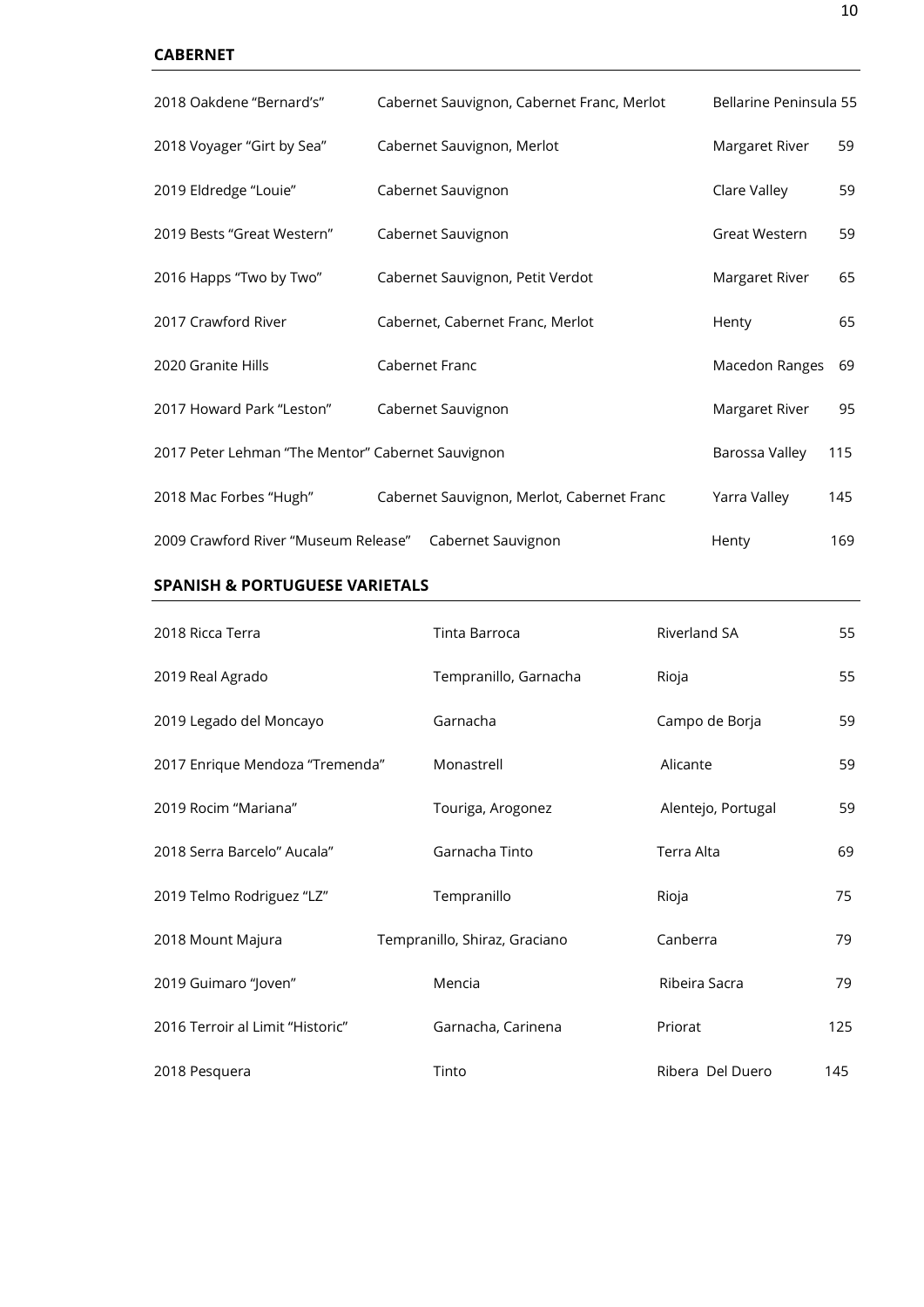## **CABERNET**

| 2018 Oakdene "Bernard's"                          | Cabernet Sauvignon, Cabernet Franc, Merlot | Bellarine Peninsula 55 |     |
|---------------------------------------------------|--------------------------------------------|------------------------|-----|
| 2018 Voyager "Girt by Sea"                        | Cabernet Sauvignon, Merlot                 | Margaret River         | 59  |
| 2019 Eldredge "Louie"                             | Cabernet Sauvignon                         | Clare Valley           | 59  |
| 2019 Bests "Great Western"                        | Cabernet Sauvignon                         | Great Western          | 59  |
| 2016 Happs "Two by Two"                           | Cabernet Sauvignon, Petit Verdot           | Margaret River         | 65  |
| 2017 Crawford River                               | Cabernet, Cabernet Franc, Merlot           | Henty                  | 65  |
| 2020 Granite Hills                                | Cabernet Franc                             | Macedon Ranges         | 69  |
| 2017 Howard Park "Leston"                         | Cabernet Sauvignon                         | Margaret River         | 95  |
| 2017 Peter Lehman "The Mentor" Cabernet Sauvignon |                                            | Barossa Valley         | 115 |
| 2018 Mac Forbes "Hugh"                            | Cabernet Sauvignon, Merlot, Cabernet Franc | Yarra Valley           | 145 |
| 2009 Crawford River "Museum Release"              | Cabernet Sauvignon                         | Henty                  | 169 |

## **SPANISH & PORTUGUESE VARIETALS**

| 2018 Ricca Terra                 | Tinta Barroca                 | <b>Riverland SA</b> |     |
|----------------------------------|-------------------------------|---------------------|-----|
| 2019 Real Agrado                 | Tempranillo, Garnacha         | Rioja               | 55  |
| 2019 Legado del Moncayo          | Garnacha                      | Campo de Borja      | 59  |
| 2017 Enrique Mendoza "Tremenda"  | Monastrell                    | Alicante            | 59  |
| 2019 Rocim "Mariana"             | Touriga, Arogonez             | Alentejo, Portugal  | 59  |
| 2018 Serra Barcelo" Aucala"      | Garnacha Tinto                | Terra Alta          | 69  |
| 2019 Telmo Rodriguez "LZ"        | Tempranillo                   | Rioja               | 75  |
| 2018 Mount Majura                | Tempranillo, Shiraz, Graciano | Canberra            | 79  |
| 2019 Guimaro "Joven"             | Mencia                        | Ribeira Sacra       | 79  |
| 2016 Terroir al Limit "Historic" | Garnacha, Carinena            | Priorat             | 125 |
| 2018 Pesquera                    | Tinto                         | Ribera Del Duero    | 145 |